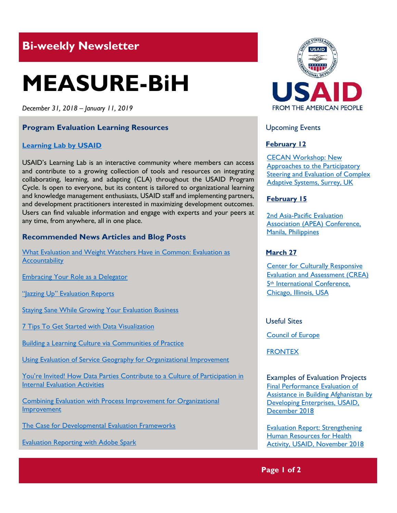## **Bi-weekly Newsletter**

# **MEASURE-BiH**

*December 31, 2018 – January 11, 2019*

#### **Program Evaluation Learning Resources**

#### **[Learning Lab](https://usaidlearninglab.org/) by USAID**

USAID's Learning Lab is an interactive community where members can access and contribute to a growing collection of tools and resources on integrating collaborating, learning, and adapting (CLA) throughout the USAID Program Cycle. Is open to everyone, but its content is tailored to organizational learning and knowledge management enthusiasts, USAID staff and implementing partners, and development practitioners interested in maximizing development outcomes. Users can find valuable information and engage with experts and your peers at any time, from anywhere, all in one place.

#### **Recommended News Articles and Blog Posts**

[What Evaluation and Weight Watchers Have in Common: Evaluation as](https://aea365.org/blog/sea-affiliate-week-what-evaluation-and-weight-watchers-have-in-common-evaluation-as-accountability-by-tatia-prieto/)  **[Accountability](https://aea365.org/blog/sea-affiliate-week-what-evaluation-and-weight-watchers-have-in-common-evaluation-as-accountability-by-tatia-prieto/)** 

[Embracing Your Role as a Delegator](https://aea365.org/blog/sea-affiliate-week-embracing-your-role-as-a-delegator-by-sheena/)

["Jazzing Up" Evaluation Reports](https://aea365.org/blog/sea-affiliate-week-jazzing-up-evaluation-reports-by-rhonda-williams/)

**[Staying Sane While Growing Your Evaluation Business](https://aea365.org/blog/sea-affiliate-week-staying-sane-while-growing-your-evaluation-business-by-megan-hartman/)** 

[7 Tips To Get Started with Data Visualization](https://aea365.org/blog/7-tips-to-get-started-with-data-visualization-by-sara-vaca/)

[Building a Learning Culture via Communities of Practice](https://aea365.org/blog/ie-tig-week-building-a-learning-culture-via-communities-of-practice-by-molly-chen-and-sarah-frazer/)

[Using Evaluation of Service Geography for Organizational Improvement](https://aea365.org/blog/ie-tig-week-using-evaluation-of-service-geography-for-organizational-improvement-by-matan-benyishay-and-allison-guarino/)

[You're Invited! How Data Parties Contribute to a Culture of Participation in](https://aea365.org/blog/ie-tig-week-youre-invited-how-data-parties-contribute-to-a-culture-of-participation-in-internal-evaluation-activities-by-omoshalewa-bamkole/)  [Internal Evaluation Activities](https://aea365.org/blog/ie-tig-week-youre-invited-how-data-parties-contribute-to-a-culture-of-participation-in-internal-evaluation-activities-by-omoshalewa-bamkole/)

[Combining Evaluation with Process Improvement for Organizational](https://aea365.org/blog/ie-tig-week-combining-evaluation-with-process-improvement-for-organizational-improvement-by-jessica-cargill/)  **[Improvement](https://aea365.org/blog/ie-tig-week-combining-evaluation-with-process-improvement-for-organizational-improvement-by-jessica-cargill/)** 

[The Case for Developmental Evaluation Frameworks](https://aea365.org/blog/ie-tig-week-the-case-for-developmental-evaluation-frameworks-by-lauren-bloem/)

[Evaluation Reporting with Adobe Spark](https://aea365.org/blog/evaluation-reporting-with-adobe-spark-by-ouen-hunter-and-emma-perk/)



#### Upcoming Events

#### **February 12**

[CECAN Workshop: New](https://www.cecan.ac.uk/events/cecan-workshop-new-approaches-to-participatory-steering-and-evaluation-of-complex-adaptive)  [Approaches to the Participatory](https://www.cecan.ac.uk/events/cecan-workshop-new-approaches-to-participatory-steering-and-evaluation-of-complex-adaptive)  [Steering and Evaluation of Complex](https://www.cecan.ac.uk/events/cecan-workshop-new-approaches-to-participatory-steering-and-evaluation-of-complex-adaptive)  [Adaptive Systems, Surrey, UK](https://www.cecan.ac.uk/events/cecan-workshop-new-approaches-to-participatory-steering-and-evaluation-of-complex-adaptive) 

#### **February 15**

[2nd Asia-Pacific Evaluation](http://apeaconference2019.com/)  [Association \(APEA\) Conference,](http://apeaconference2019.com/)  [Manila, Philippines](http://apeaconference2019.com/) 

#### **March 27**

**Center for Culturally Responsive** [Evaluation and Assessment \(CREA\)](https://crea.education.illinois.edu/home/fifth-international-conference)  5th [International Conference,](https://crea.education.illinois.edu/home/fifth-international-conference)  [Chicago, Illinois, USA](https://crea.education.illinois.edu/home/fifth-international-conference) 

Useful Sites

[Council of Europe](https://www.coe.int/en/web/portal/home)

**[FRONTEX](https://frontex.europa.eu/)** 

Examples of Evaluation Projects [Final Performance Evaluation of](https://dec.usaid.gov/dec/content/Detail_Presto.aspx?ctID=ODVhZjk4NWQtM2YyMi00YjRmLTkxNjktZTcxMjM2NDBmY2Uy&rID=NTE1NDAw&qrs=RmFsc2U%3d&q=KERvY3VtZW50cy5CaWJ0eXBlX05hbWU6KCgiU3BlY2lhbCBFdmFsdWF0aW9uIikgT1IgKCJGaW5hbCBFdmFsdWF0aW9uIFJlcG9ydCIpKSk%3d&ph=VHJ1ZQ%3d%3d&bckToL=VHJ1ZQ%3d%3d&rrtc=VHJ1ZQ%3d%3d)  Assistance in [Building Afghanistan by](https://dec.usaid.gov/dec/content/Detail_Presto.aspx?ctID=ODVhZjk4NWQtM2YyMi00YjRmLTkxNjktZTcxMjM2NDBmY2Uy&rID=NTE1NDAw&qrs=RmFsc2U%3d&q=KERvY3VtZW50cy5CaWJ0eXBlX05hbWU6KCgiU3BlY2lhbCBFdmFsdWF0aW9uIikgT1IgKCJGaW5hbCBFdmFsdWF0aW9uIFJlcG9ydCIpKSk%3d&ph=VHJ1ZQ%3d%3d&bckToL=VHJ1ZQ%3d%3d&rrtc=VHJ1ZQ%3d%3d)  [Developing Enterprises, USAID,](https://dec.usaid.gov/dec/content/Detail_Presto.aspx?ctID=ODVhZjk4NWQtM2YyMi00YjRmLTkxNjktZTcxMjM2NDBmY2Uy&rID=NTE1NDAw&qrs=RmFsc2U%3d&q=KERvY3VtZW50cy5CaWJ0eXBlX05hbWU6KCgiU3BlY2lhbCBFdmFsdWF0aW9uIikgT1IgKCJGaW5hbCBFdmFsdWF0aW9uIFJlcG9ydCIpKSk%3d&ph=VHJ1ZQ%3d%3d&bckToL=VHJ1ZQ%3d%3d&rrtc=VHJ1ZQ%3d%3d)  [December](https://dec.usaid.gov/dec/content/Detail_Presto.aspx?ctID=ODVhZjk4NWQtM2YyMi00YjRmLTkxNjktZTcxMjM2NDBmY2Uy&rID=NTE1NDAw&qrs=RmFsc2U%3d&q=KERvY3VtZW50cy5CaWJ0eXBlX05hbWU6KCgiU3BlY2lhbCBFdmFsdWF0aW9uIikgT1IgKCJGaW5hbCBFdmFsdWF0aW9uIFJlcG9ydCIpKSk%3d&ph=VHJ1ZQ%3d%3d&bckToL=VHJ1ZQ%3d%3d&rrtc=VHJ1ZQ%3d%3d) 2018

[Evaluation Report: Strengthening](https://dec.usaid.gov/dec/content/Detail_Presto.aspx?ctID=ODVhZjk4NWQtM2YyMi00YjRmLTkxNjktZTcxMjM2NDBmY2Uy&rID=NTE0MTky&qrs=RmFsc2U%3d&q=KERvY3VtZW50cy5CaWJ0eXBlX05hbWU6KCgiU3BlY2lhbCBFdmFsdWF0aW9uIikgT1IgKCJGaW5hbCBFdmFsdWF0aW9uIFJlcG9ydCIpKSk%3d&ph=VHJ1ZQ%3d%3d&bckToL=VHJ1ZQ%3d%3d&rrtc=VHJ1ZQ%3d%3d)  [Human Resources for Health](https://dec.usaid.gov/dec/content/Detail_Presto.aspx?ctID=ODVhZjk4NWQtM2YyMi00YjRmLTkxNjktZTcxMjM2NDBmY2Uy&rID=NTE0MTky&qrs=RmFsc2U%3d&q=KERvY3VtZW50cy5CaWJ0eXBlX05hbWU6KCgiU3BlY2lhbCBFdmFsdWF0aW9uIikgT1IgKCJGaW5hbCBFdmFsdWF0aW9uIFJlcG9ydCIpKSk%3d&ph=VHJ1ZQ%3d%3d&bckToL=VHJ1ZQ%3d%3d&rrtc=VHJ1ZQ%3d%3d)  Activity, [USAID, November](https://dec.usaid.gov/dec/content/Detail_Presto.aspx?ctID=ODVhZjk4NWQtM2YyMi00YjRmLTkxNjktZTcxMjM2NDBmY2Uy&rID=NTE0MTky&qrs=RmFsc2U%3d&q=KERvY3VtZW50cy5CaWJ0eXBlX05hbWU6KCgiU3BlY2lhbCBFdmFsdWF0aW9uIikgT1IgKCJGaW5hbCBFdmFsdWF0aW9uIFJlcG9ydCIpKSk%3d&ph=VHJ1ZQ%3d%3d&bckToL=VHJ1ZQ%3d%3d&rrtc=VHJ1ZQ%3d%3d) 2018

#### **Page 1 of 2**